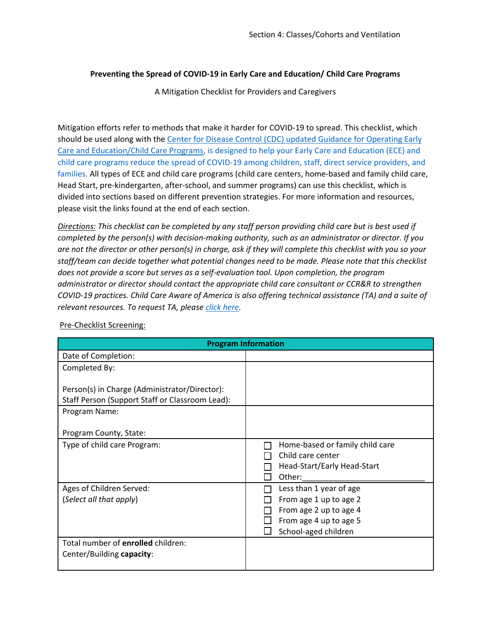## **Preventing the Spread of COVID-19 in Early Care and Education/ Child Care Programs**

A Mitigation Checklist for Providers and Caregivers

Mitigation efforts refer to methods that make it harder for COVID-19 to spread. This checklist, which should be used along with the Center for [Disease Control \(CDC\) updated Guidance for Operating Early](https://www.cdc.gov/coronavirus/2019-ncov/community/schools-childcare/child-care-guidance.html)  [Care and Education/Child Care Programs,](https://www.cdc.gov/coronavirus/2019-ncov/community/schools-childcare/child-care-guidance.html) is designed to help your Early Care and Education (ECE) and child care programs reduce the spread of COVID-19 among children, staff, direct service providers, and families. All types of ECE and child care programs (child care centers, home-based and family child care, Head Start, pre-kindergarten, after-school, and summer programs) can use this checklist, which is divided into sections based on different prevention strategies. For more information and resources, please visit the links found at the end of each section.

*Directions: This checklist can be completed by any staff person providing child care but is best used if completed by the person(s) with decision-making authority, such as an administrator or director. If you are not the director or other person(s) in charge, ask if they will complete this checklist with you so your staff/team can decide together what potential changes need to be made. Please note that this checklist does not provide a score but serves as a self-evaluation tool. Upon completion, the program administrator or director should contact the appropriate child care consultant or CCR&R to strengthen COVID-19 practices. Child Care Aware of America is also offering technical assistance (TA) and a suite of relevant resources. To request TA, please [click here.](https://info.childcareaware.org/request-technical-assistance-from-ccaoa)* 

| <b>Program Information</b>                      |                                                                                               |  |  |  |
|-------------------------------------------------|-----------------------------------------------------------------------------------------------|--|--|--|
| Date of Completion:                             |                                                                                               |  |  |  |
| Completed By:                                   |                                                                                               |  |  |  |
| Person(s) in Charge (Administrator/Director):   |                                                                                               |  |  |  |
| Staff Person (Support Staff or Classroom Lead): |                                                                                               |  |  |  |
| Program Name:                                   |                                                                                               |  |  |  |
| Program County, State:                          |                                                                                               |  |  |  |
| Type of child care Program:                     | Home-based or family child care<br>Child care center<br>Head-Start/Early Head-Start<br>Other: |  |  |  |
| Ages of Children Served:                        | Less than 1 year of age                                                                       |  |  |  |
| (Select all that apply)                         | From age 1 up to age 2                                                                        |  |  |  |
|                                                 | From age 2 up to age 4                                                                        |  |  |  |
|                                                 | From age 4 up to age 5                                                                        |  |  |  |
|                                                 | School-aged children                                                                          |  |  |  |
| Total number of enrolled children:              |                                                                                               |  |  |  |
| Center/Building capacity:                       |                                                                                               |  |  |  |

Pre-Checklist Screening: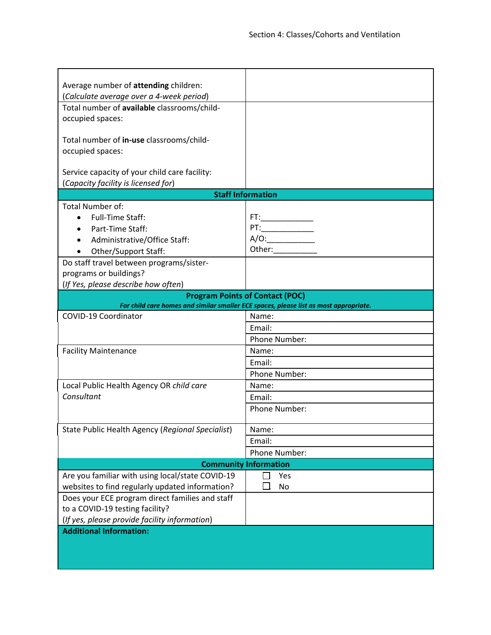| Average number of attending children:                                                |                                                                                       |  |  |  |
|--------------------------------------------------------------------------------------|---------------------------------------------------------------------------------------|--|--|--|
| (Calculate average over a 4-week period)                                             |                                                                                       |  |  |  |
| Total number of available classrooms/child-                                          |                                                                                       |  |  |  |
| occupied spaces:                                                                     |                                                                                       |  |  |  |
| Total number of in-use classrooms/child-                                             |                                                                                       |  |  |  |
| occupied spaces:                                                                     |                                                                                       |  |  |  |
|                                                                                      |                                                                                       |  |  |  |
| Service capacity of your child care facility:<br>(Capacity facility is licensed for) |                                                                                       |  |  |  |
|                                                                                      | <b>Staff Information</b>                                                              |  |  |  |
|                                                                                      |                                                                                       |  |  |  |
| <b>Total Number of:</b>                                                              |                                                                                       |  |  |  |
| <b>Full-Time Staff:</b>                                                              |                                                                                       |  |  |  |
| Part-Time Staff:                                                                     |                                                                                       |  |  |  |
| Administrative/Office Staff:                                                         | A/O:                                                                                  |  |  |  |
| Other/Support Staff:                                                                 | Other:                                                                                |  |  |  |
| Do staff travel between programs/sister-                                             |                                                                                       |  |  |  |
| programs or buildings?                                                               |                                                                                       |  |  |  |
| (If Yes, please describe how often)                                                  |                                                                                       |  |  |  |
|                                                                                      | <b>Program Points of Contact (POC)</b>                                                |  |  |  |
|                                                                                      | For child care homes and similar smaller ECE spaces, please list as most appropriate. |  |  |  |
| COVID-19 Coordinator                                                                 | Name:                                                                                 |  |  |  |
|                                                                                      | Email:                                                                                |  |  |  |
|                                                                                      | Phone Number:                                                                         |  |  |  |
| <b>Facility Maintenance</b>                                                          | Name:                                                                                 |  |  |  |
|                                                                                      | Email:                                                                                |  |  |  |
|                                                                                      | Phone Number:                                                                         |  |  |  |
| Local Public Health Agency OR child care                                             | Name:                                                                                 |  |  |  |
| Consultant                                                                           | Email:                                                                                |  |  |  |
|                                                                                      | Phone Number:                                                                         |  |  |  |
|                                                                                      |                                                                                       |  |  |  |
| State Public Health Agency (Regional Specialist)                                     | Name:                                                                                 |  |  |  |
|                                                                                      | Email:                                                                                |  |  |  |
|                                                                                      | Phone Number:                                                                         |  |  |  |
| <b>Community Information</b>                                                         |                                                                                       |  |  |  |
| Are you familiar with using local/state COVID-19                                     | Yes                                                                                   |  |  |  |
| websites to find regularly updated information?                                      | No                                                                                    |  |  |  |
| Does your ECE program direct families and staff                                      |                                                                                       |  |  |  |
| to a COVID-19 testing facility?                                                      |                                                                                       |  |  |  |
| (If yes, please provide facility information)                                        |                                                                                       |  |  |  |
| <b>Additional Information:</b>                                                       |                                                                                       |  |  |  |
|                                                                                      |                                                                                       |  |  |  |
|                                                                                      |                                                                                       |  |  |  |
|                                                                                      |                                                                                       |  |  |  |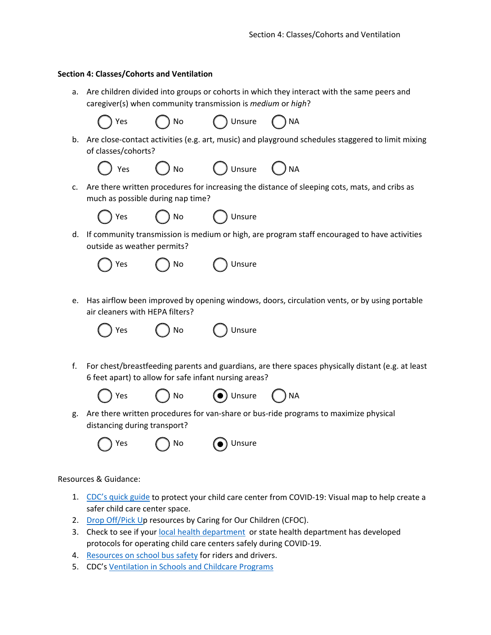## **Section 4: Classes/Cohorts and Ventilation**

a. Are children divided into groups or cohorts in which they interact with the same peers and caregiver(s) when community transmission is *medium* or *high*?

Yes ( ) No ( ) Unsure ( ) NA

b. Are close-contact activities (e.g. art, music) and playground schedules staggered to limit mixing of classes/cohorts?

Unsure  $\bigcirc$  NA

| $\bigcirc$ Yes<br>$()$ No |  |
|---------------------------|--|
|---------------------------|--|

c. Are there written procedures for increasing the distance of sleeping cots, mats, and cribs as much as possible during nap time?

| Yes | ) No |  |
|-----|------|--|
|-----|------|--|



- 
- d. If community transmission is medium or high, are program staff encouraged to have activities outside as weather permits?



e. Has airflow been improved by opening windows, doors, circulation vents, or by using portable air cleaners with HEPA filters?

| $\bigcirc$ Yes | $\bigcirc$ No | $\bigcirc$ Unsure |
|----------------|---------------|-------------------|
|                |               |                   |

f. For chest/breastfeeding parents and guardians, are there spaces physically distant (e.g. at least 6 feet apart) to allow for safe infant nursing areas?







g. Are there written procedures for van-share or bus-ride programs to maximize physical distancing during transport?

Yes  $($   $)$  No  $($   $)$  Unsure



Resources & Guidance:

- 1. CDC's quick guide to protect your child care center from COVID-19: Visual map to help create a safer child care center space.
- 2. Drop Off/Pick Up resources by Caring for Our Children (CFOC).
- 3. Check to see if your local health department or state health department has developed protocols for operating child care centers safely during COVID-19.
- 4. Resources on school bus safety for riders and drivers.
- 5. CDC's Ventilation in Schools and Childcare Programs